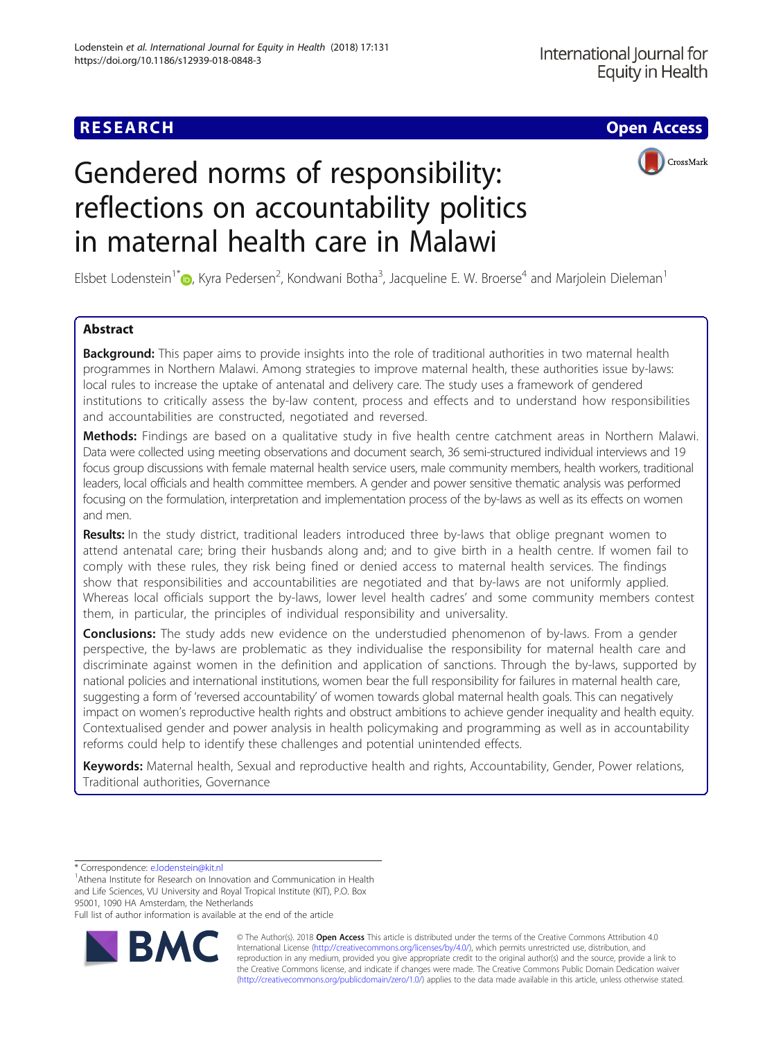CrossMark

# Gendered norms of responsibility: reflections on accountability politics in maternal health care in Malawi

Elsbet Lodenstein<sup>1[\\*](http://orcid.org/0000-0003-3379-8488)</sup> (**D**, Kyra Pedersen<sup>2</sup>, Kondwani Botha<sup>3</sup>, Jacqueline E. W. Broerse<sup>4</sup> and Marjolein Dieleman<sup>1</sup>

# Abstract

**Background:** This paper aims to provide insights into the role of traditional authorities in two maternal health programmes in Northern Malawi. Among strategies to improve maternal health, these authorities issue by-laws: local rules to increase the uptake of antenatal and delivery care. The study uses a framework of gendered institutions to critically assess the by-law content, process and effects and to understand how responsibilities and accountabilities are constructed, negotiated and reversed.

Methods: Findings are based on a qualitative study in five health centre catchment areas in Northern Malawi. Data were collected using meeting observations and document search, 36 semi-structured individual interviews and 19 focus group discussions with female maternal health service users, male community members, health workers, traditional leaders, local officials and health committee members. A gender and power sensitive thematic analysis was performed focusing on the formulation, interpretation and implementation process of the by-laws as well as its effects on women and men.

Results: In the study district, traditional leaders introduced three by-laws that oblige pregnant women to attend antenatal care; bring their husbands along and; and to give birth in a health centre. If women fail to comply with these rules, they risk being fined or denied access to maternal health services. The findings show that responsibilities and accountabilities are negotiated and that by-laws are not uniformly applied. Whereas local officials support the by-laws, lower level health cadres' and some community members contest them, in particular, the principles of individual responsibility and universality.

**Conclusions:** The study adds new evidence on the understudied phenomenon of by-laws. From a gender perspective, the by-laws are problematic as they individualise the responsibility for maternal health care and discriminate against women in the definition and application of sanctions. Through the by-laws, supported by national policies and international institutions, women bear the full responsibility for failures in maternal health care, suggesting a form of 'reversed accountability' of women towards global maternal health goals. This can negatively impact on women's reproductive health rights and obstruct ambitions to achieve gender inequality and health equity. Contextualised gender and power analysis in health policymaking and programming as well as in accountability reforms could help to identify these challenges and potential unintended effects.

Keywords: Maternal health, Sexual and reproductive health and rights, Accountability, Gender, Power relations, Traditional authorities, Governance

\* Correspondence: [e.lodenstein@kit.nl](mailto:e.lodenstein@kit.nl) <sup>1</sup>

<sup>1</sup> Athena Institute for Research on Innovation and Communication in Health and Life Sciences, VU University and Royal Tropical Institute (KIT), P.O. Box 95001, 1090 HA Amsterdam, the Netherlands

Full list of author information is available at the end of the article



© The Author(s). 2018 Open Access This article is distributed under the terms of the Creative Commons Attribution 4.0 International License [\(http://creativecommons.org/licenses/by/4.0/](http://creativecommons.org/licenses/by/4.0/)), which permits unrestricted use, distribution, and reproduction in any medium, provided you give appropriate credit to the original author(s) and the source, provide a link to the Creative Commons license, and indicate if changes were made. The Creative Commons Public Domain Dedication waiver [\(http://creativecommons.org/publicdomain/zero/1.0/](http://creativecommons.org/publicdomain/zero/1.0/)) applies to the data made available in this article, unless otherwise stated.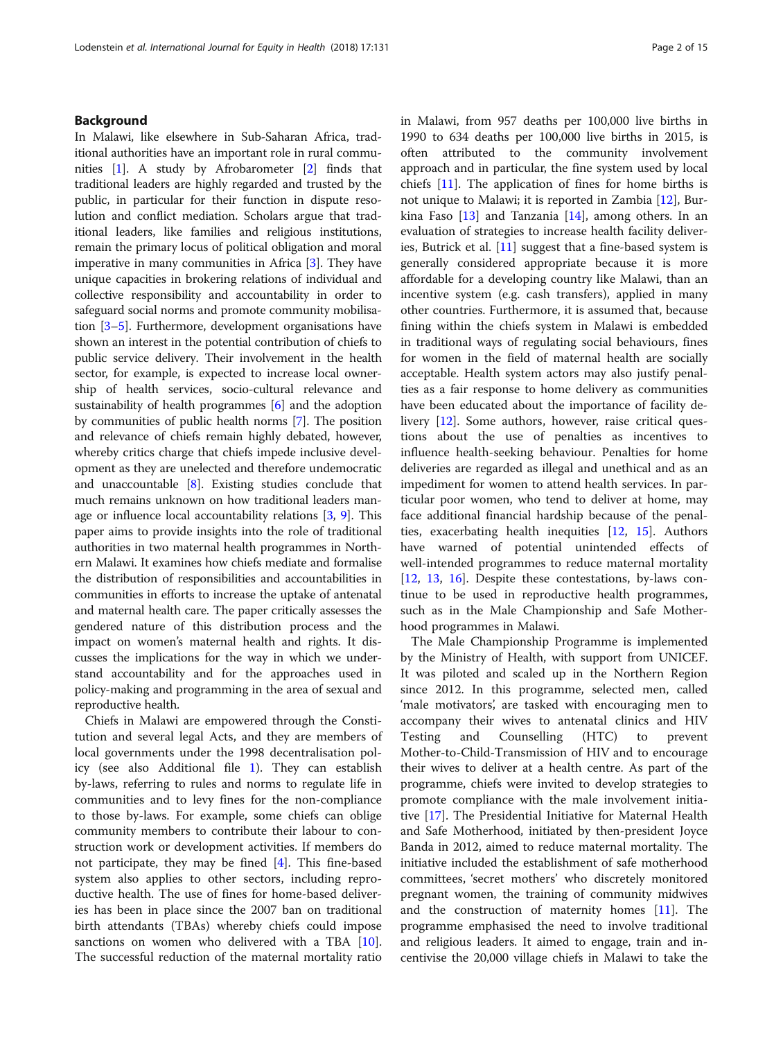# Background

In Malawi, like elsewhere in Sub-Saharan Africa, traditional authorities have an important role in rural communities [\[1\]](#page-13-0). A study by Afrobarometer [\[2](#page-13-0)] finds that traditional leaders are highly regarded and trusted by the public, in particular for their function in dispute resolution and conflict mediation. Scholars argue that traditional leaders, like families and religious institutions, remain the primary locus of political obligation and moral imperative in many communities in Africa [[3](#page-13-0)]. They have unique capacities in brokering relations of individual and collective responsibility and accountability in order to safeguard social norms and promote community mobilisation [\[3](#page-13-0)–[5\]](#page-13-0). Furthermore, development organisations have shown an interest in the potential contribution of chiefs to public service delivery. Their involvement in the health sector, for example, is expected to increase local ownership of health services, socio-cultural relevance and sustainability of health programmes [\[6\]](#page-13-0) and the adoption by communities of public health norms [\[7](#page-13-0)]. The position and relevance of chiefs remain highly debated, however, whereby critics charge that chiefs impede inclusive development as they are unelected and therefore undemocratic and unaccountable [\[8\]](#page-13-0). Existing studies conclude that much remains unknown on how traditional leaders manage or influence local accountability relations [[3](#page-13-0), [9\]](#page-13-0). This paper aims to provide insights into the role of traditional authorities in two maternal health programmes in Northern Malawi. It examines how chiefs mediate and formalise the distribution of responsibilities and accountabilities in communities in efforts to increase the uptake of antenatal and maternal health care. The paper critically assesses the gendered nature of this distribution process and the impact on women's maternal health and rights. It discusses the implications for the way in which we understand accountability and for the approaches used in policy-making and programming in the area of sexual and reproductive health.

Chiefs in Malawi are empowered through the Constitution and several legal Acts, and they are members of local governments under the 1998 decentralisation policy (see also Additional file [1\)](#page-12-0). They can establish by-laws, referring to rules and norms to regulate life in communities and to levy fines for the non-compliance to those by-laws. For example, some chiefs can oblige community members to contribute their labour to construction work or development activities. If members do not participate, they may be fined [\[4](#page-13-0)]. This fine-based system also applies to other sectors, including reproductive health. The use of fines for home-based deliveries has been in place since the 2007 ban on traditional birth attendants (TBAs) whereby chiefs could impose sanctions on women who delivered with a TBA [\[10](#page-13-0)]. The successful reduction of the maternal mortality ratio in Malawi, from 957 deaths per 100,000 live births in 1990 to 634 deaths per 100,000 live births in 2015, is often attributed to the community involvement approach and in particular, the fine system used by local chiefs [[11](#page-13-0)]. The application of fines for home births is not unique to Malawi; it is reported in Zambia [\[12](#page-13-0)], Burkina Faso  $[13]$  and Tanzania  $[14]$  $[14]$  $[14]$ , among others. In an evaluation of strategies to increase health facility deliveries, Butrick et al. [\[11](#page-13-0)] suggest that a fine-based system is generally considered appropriate because it is more affordable for a developing country like Malawi, than an incentive system (e.g. cash transfers), applied in many other countries. Furthermore, it is assumed that, because fining within the chiefs system in Malawi is embedded in traditional ways of regulating social behaviours, fines for women in the field of maternal health are socially acceptable. Health system actors may also justify penalties as a fair response to home delivery as communities have been educated about the importance of facility delivery [[12](#page-13-0)]. Some authors, however, raise critical questions about the use of penalties as incentives to influence health-seeking behaviour. Penalties for home deliveries are regarded as illegal and unethical and as an impediment for women to attend health services. In particular poor women, who tend to deliver at home, may face additional financial hardship because of the penalties, exacerbating health inequities [\[12](#page-13-0), [15\]](#page-13-0). Authors have warned of potential unintended effects of well-intended programmes to reduce maternal mortality [[12,](#page-13-0) [13,](#page-13-0) [16](#page-13-0)]. Despite these contestations, by-laws continue to be used in reproductive health programmes, such as in the Male Championship and Safe Motherhood programmes in Malawi.

The Male Championship Programme is implemented by the Ministry of Health, with support from UNICEF. It was piloted and scaled up in the Northern Region since 2012. In this programme, selected men, called 'male motivators', are tasked with encouraging men to accompany their wives to antenatal clinics and HIV Testing and Counselling (HTC) to prevent Mother-to-Child-Transmission of HIV and to encourage their wives to deliver at a health centre. As part of the programme, chiefs were invited to develop strategies to promote compliance with the male involvement initiative [\[17\]](#page-13-0). The Presidential Initiative for Maternal Health and Safe Motherhood, initiated by then-president Joyce Banda in 2012, aimed to reduce maternal mortality. The initiative included the establishment of safe motherhood committees, 'secret mothers' who discretely monitored pregnant women, the training of community midwives and the construction of maternity homes [[11\]](#page-13-0). The programme emphasised the need to involve traditional and religious leaders. It aimed to engage, train and incentivise the 20,000 village chiefs in Malawi to take the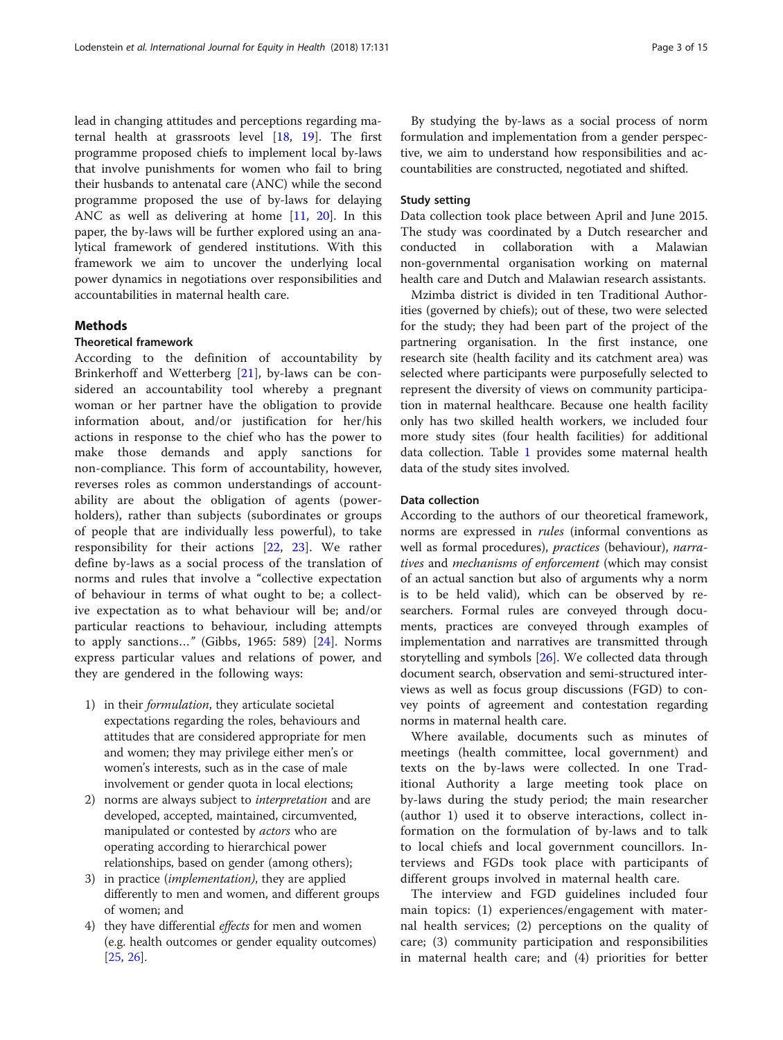lead in changing attitudes and perceptions regarding maternal health at grassroots level [[18](#page-13-0), [19](#page-13-0)]. The first programme proposed chiefs to implement local by-laws that involve punishments for women who fail to bring their husbands to antenatal care (ANC) while the second programme proposed the use of by-laws for delaying ANC as well as delivering at home [\[11](#page-13-0), [20\]](#page-13-0). In this paper, the by-laws will be further explored using an analytical framework of gendered institutions. With this framework we aim to uncover the underlying local power dynamics in negotiations over responsibilities and accountabilities in maternal health care.

# **Methods**

#### Theoretical framework

According to the definition of accountability by Brinkerhoff and Wetterberg [\[21](#page-13-0)], by-laws can be considered an accountability tool whereby a pregnant woman or her partner have the obligation to provide information about, and/or justification for her/his actions in response to the chief who has the power to make those demands and apply sanctions for non-compliance. This form of accountability, however, reverses roles as common understandings of accountability are about the obligation of agents (powerholders), rather than subjects (subordinates or groups of people that are individually less powerful), to take responsibility for their actions [\[22](#page-14-0), [23](#page-14-0)]. We rather define by-laws as a social process of the translation of norms and rules that involve a "collective expectation of behaviour in terms of what ought to be; a collective expectation as to what behaviour will be; and/or particular reactions to behaviour, including attempts to apply sanctions..." (Gibbs, 1965: 589)  $[24]$  $[24]$ . Norms express particular values and relations of power, and they are gendered in the following ways:

- 1) in their formulation, they articulate societal expectations regarding the roles, behaviours and attitudes that are considered appropriate for men and women; they may privilege either men's or women's interests, such as in the case of male involvement or gender quota in local elections;
- 2) norms are always subject to interpretation and are developed, accepted, maintained, circumvented, manipulated or contested by *actors* who are operating according to hierarchical power relationships, based on gender (among others);
- 3) in practice (*implementation*), they are applied differently to men and women, and different groups of women; and
- 4) they have differential effects for men and women (e.g. health outcomes or gender equality outcomes) [\[25](#page-14-0), [26\]](#page-14-0).

By studying the by-laws as a social process of norm formulation and implementation from a gender perspective, we aim to understand how responsibilities and accountabilities are constructed, negotiated and shifted.

# Study setting

Data collection took place between April and June 2015. The study was coordinated by a Dutch researcher and conducted in collaboration with a Malawian non-governmental organisation working on maternal health care and Dutch and Malawian research assistants.

Mzimba district is divided in ten Traditional Authorities (governed by chiefs); out of these, two were selected for the study; they had been part of the project of the partnering organisation. In the first instance, one research site (health facility and its catchment area) was selected where participants were purposefully selected to represent the diversity of views on community participation in maternal healthcare. Because one health facility only has two skilled health workers, we included four more study sites (four health facilities) for additional data collection. Table [1](#page-3-0) provides some maternal health data of the study sites involved.

#### Data collection

According to the authors of our theoretical framework, norms are expressed in rules (informal conventions as well as formal procedures), practices (behaviour), narratives and mechanisms of enforcement (which may consist of an actual sanction but also of arguments why a norm is to be held valid), which can be observed by researchers. Formal rules are conveyed through documents, practices are conveyed through examples of implementation and narratives are transmitted through storytelling and symbols [[26](#page-14-0)]. We collected data through document search, observation and semi-structured interviews as well as focus group discussions (FGD) to convey points of agreement and contestation regarding norms in maternal health care.

Where available, documents such as minutes of meetings (health committee, local government) and texts on the by-laws were collected. In one Traditional Authority a large meeting took place on by-laws during the study period; the main researcher (author 1) used it to observe interactions, collect information on the formulation of by-laws and to talk to local chiefs and local government councillors. Interviews and FGDs took place with participants of different groups involved in maternal health care.

The interview and FGD guidelines included four main topics: (1) experiences/engagement with maternal health services; (2) perceptions on the quality of care; (3) community participation and responsibilities in maternal health care; and (4) priorities for better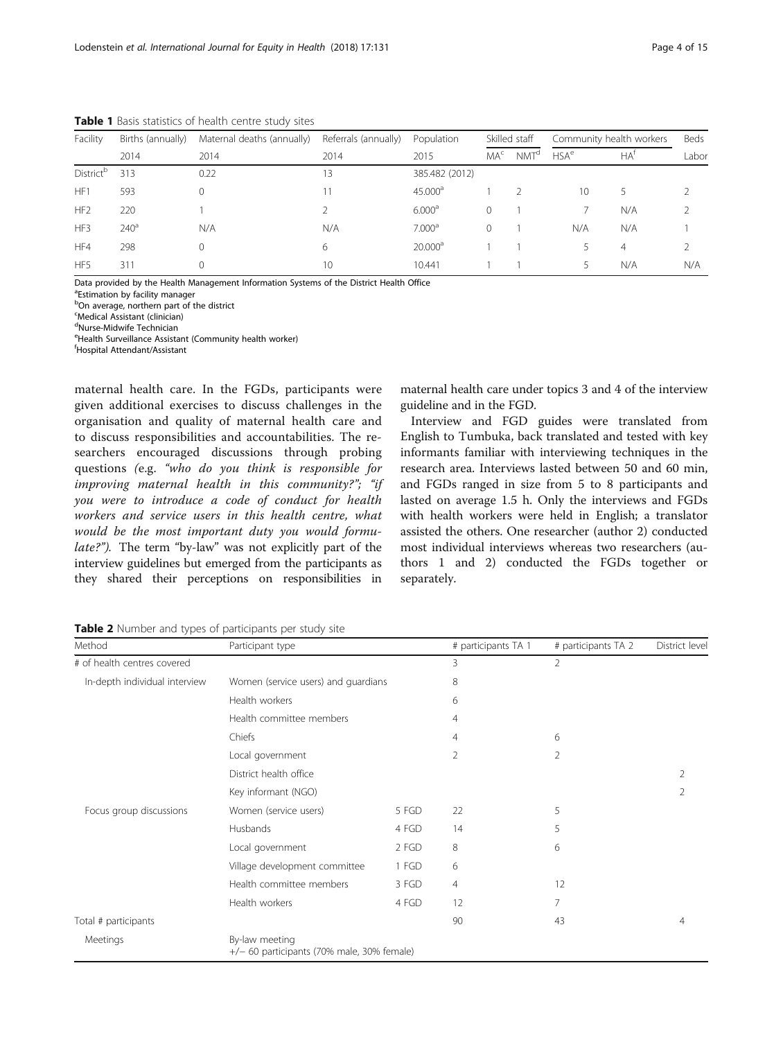<span id="page-3-0"></span>Table 1 Basis statistics of health centre study sites

| Facility              | Births (annually) | Maternal deaths (annually) | Referrals (annually) | Population          | Skilled staff   |                  | Community health workers |        | Beds  |
|-----------------------|-------------------|----------------------------|----------------------|---------------------|-----------------|------------------|--------------------------|--------|-------|
|                       | 2014              | 2014                       | 2014                 | 2015                | MA <sup>c</sup> | NMT <sup>d</sup> | HSA <sup>e</sup>         | $HA^T$ | Labor |
| District <sup>b</sup> | 313               | 0.22                       | 13                   | 385.482 (2012)      |                 |                  |                          |        |       |
| HF <sub>1</sub>       | 593               | $\Omega$                   |                      | $45.000^{\circ}$    |                 |                  | 10                       | 5      |       |
| HF <sub>2</sub>       | 220               |                            |                      | 6.000 <sup>a</sup>  | $\Omega$        |                  |                          | N/A    |       |
| HF3                   | 240 <sup>a</sup>  | N/A                        | N/A                  | 7.000 <sup>a</sup>  | $\Omega$        |                  | N/A                      | N/A    |       |
| HF4                   | 298               | $\Omega$                   | 6                    | 20.000 <sup>a</sup> |                 |                  |                          | 4      |       |
| HF <sub>5</sub>       | 311               | $\Omega$                   | 10                   | 10.441              |                 |                  | 5.                       | N/A    | N/A   |

Data provided by the Health Management Information Systems of the District Health Office

<sup>a</sup>Estimation by facility manager

**bOn average, northern part of the district** 

c Medical Assistant (clinician)

<sup>d</sup>Nurse-Midwife Technician

e Health Surveillance Assistant (Community health worker)

f Hospital Attendant/Assistant

maternal health care. In the FGDs, participants were given additional exercises to discuss challenges in the organisation and quality of maternal health care and to discuss responsibilities and accountabilities. The researchers encouraged discussions through probing questions (e.g. "who do you think is responsible for improving maternal health in this community?"; "if you were to introduce a code of conduct for health workers and service users in this health centre, what would be the most important duty you would formulate?"). The term "by-law" was not explicitly part of the interview guidelines but emerged from the participants as they shared their perceptions on responsibilities in

maternal health care under topics 3 and 4 of the interview guideline and in the FGD.

Interview and FGD guides were translated from English to Tumbuka, back translated and tested with key informants familiar with interviewing techniques in the research area. Interviews lasted between 50 and 60 min, and FGDs ranged in size from 5 to 8 participants and lasted on average 1.5 h. Only the interviews and FGDs with health workers were held in English; a translator assisted the others. One researcher (author 2) conducted most individual interviews whereas two researchers (authors 1 and 2) conducted the FGDs together or separately.

| Method                        | Participant type                                               |       | # participants TA 1 | # participants TA 2 | District level |
|-------------------------------|----------------------------------------------------------------|-------|---------------------|---------------------|----------------|
| # of health centres covered   |                                                                |       | 3                   | 2                   |                |
| In-depth individual interview | Women (service users) and guardians                            |       | 8                   |                     |                |
|                               | Health workers                                                 |       | 6                   |                     |                |
|                               | Health committee members                                       |       | $\overline{4}$      |                     |                |
|                               | Chiefs                                                         |       | 4                   | 6                   |                |
|                               | Local government                                               |       | 2                   | 2                   |                |
|                               | District health office                                         |       |                     |                     | 2              |
|                               | Key informant (NGO)                                            |       |                     |                     | 2              |
| Focus group discussions       | Women (service users)                                          | 5 FGD | 22                  | 5                   |                |
|                               | Husbands                                                       | 4 FGD | 14                  | 5                   |                |
|                               | Local government                                               | 2 FGD | 8                   | 6                   |                |
|                               | Village development committee                                  | 1 FGD | 6                   |                     |                |
|                               | Health committee members                                       | 3 FGD | 4                   | 12                  |                |
|                               | Health workers                                                 | 4 FGD | 12                  | 7                   |                |
| Total # participants          |                                                                |       | 90                  | 43                  | $\overline{4}$ |
| Meetings                      | By-law meeting<br>$+/-$ 60 participants (70% male, 30% female) |       |                     |                     |                |

Table 2 Number and types of participants per study site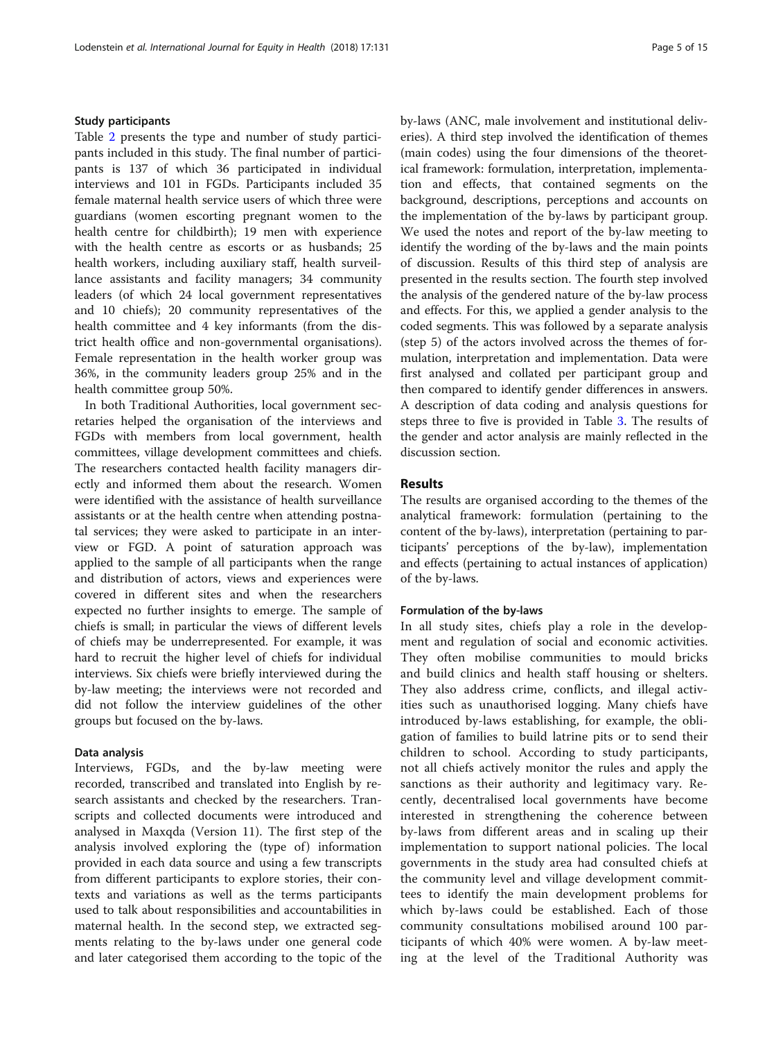# Study participants

Table [2](#page-3-0) presents the type and number of study participants included in this study. The final number of participants is 137 of which 36 participated in individual interviews and 101 in FGDs. Participants included 35 female maternal health service users of which three were guardians (women escorting pregnant women to the health centre for childbirth); 19 men with experience with the health centre as escorts or as husbands; 25 health workers, including auxiliary staff, health surveillance assistants and facility managers; 34 community leaders (of which 24 local government representatives and 10 chiefs); 20 community representatives of the health committee and 4 key informants (from the district health office and non-governmental organisations). Female representation in the health worker group was 36%, in the community leaders group 25% and in the health committee group 50%.

In both Traditional Authorities, local government secretaries helped the organisation of the interviews and FGDs with members from local government, health committees, village development committees and chiefs. The researchers contacted health facility managers directly and informed them about the research. Women were identified with the assistance of health surveillance assistants or at the health centre when attending postnatal services; they were asked to participate in an interview or FGD. A point of saturation approach was applied to the sample of all participants when the range and distribution of actors, views and experiences were covered in different sites and when the researchers expected no further insights to emerge. The sample of chiefs is small; in particular the views of different levels of chiefs may be underrepresented. For example, it was hard to recruit the higher level of chiefs for individual interviews. Six chiefs were briefly interviewed during the by-law meeting; the interviews were not recorded and did not follow the interview guidelines of the other groups but focused on the by-laws.

#### Data analysis

Interviews, FGDs, and the by-law meeting were recorded, transcribed and translated into English by research assistants and checked by the researchers. Transcripts and collected documents were introduced and analysed in Maxqda (Version 11). The first step of the analysis involved exploring the (type of) information provided in each data source and using a few transcripts from different participants to explore stories, their contexts and variations as well as the terms participants used to talk about responsibilities and accountabilities in maternal health. In the second step, we extracted segments relating to the by-laws under one general code and later categorised them according to the topic of the by-laws (ANC, male involvement and institutional deliveries). A third step involved the identification of themes (main codes) using the four dimensions of the theoretical framework: formulation, interpretation, implementation and effects, that contained segments on the background, descriptions, perceptions and accounts on the implementation of the by-laws by participant group. We used the notes and report of the by-law meeting to identify the wording of the by-laws and the main points of discussion. Results of this third step of analysis are presented in the results section. The fourth step involved the analysis of the gendered nature of the by-law process and effects. For this, we applied a gender analysis to the coded segments. This was followed by a separate analysis (step 5) of the actors involved across the themes of formulation, interpretation and implementation. Data were first analysed and collated per participant group and then compared to identify gender differences in answers. A description of data coding and analysis questions for steps three to five is provided in Table [3.](#page-5-0) The results of the gender and actor analysis are mainly reflected in the discussion section.

# Results

The results are organised according to the themes of the analytical framework: formulation (pertaining to the content of the by-laws), interpretation (pertaining to participants' perceptions of the by-law), implementation and effects (pertaining to actual instances of application) of the by-laws.

# Formulation of the by-laws

In all study sites, chiefs play a role in the development and regulation of social and economic activities. They often mobilise communities to mould bricks and build clinics and health staff housing or shelters. They also address crime, conflicts, and illegal activities such as unauthorised logging. Many chiefs have introduced by-laws establishing, for example, the obligation of families to build latrine pits or to send their children to school. According to study participants, not all chiefs actively monitor the rules and apply the sanctions as their authority and legitimacy vary. Recently, decentralised local governments have become interested in strengthening the coherence between by-laws from different areas and in scaling up their implementation to support national policies. The local governments in the study area had consulted chiefs at the community level and village development committees to identify the main development problems for which by-laws could be established. Each of those community consultations mobilised around 100 participants of which 40% were women. A by-law meeting at the level of the Traditional Authority was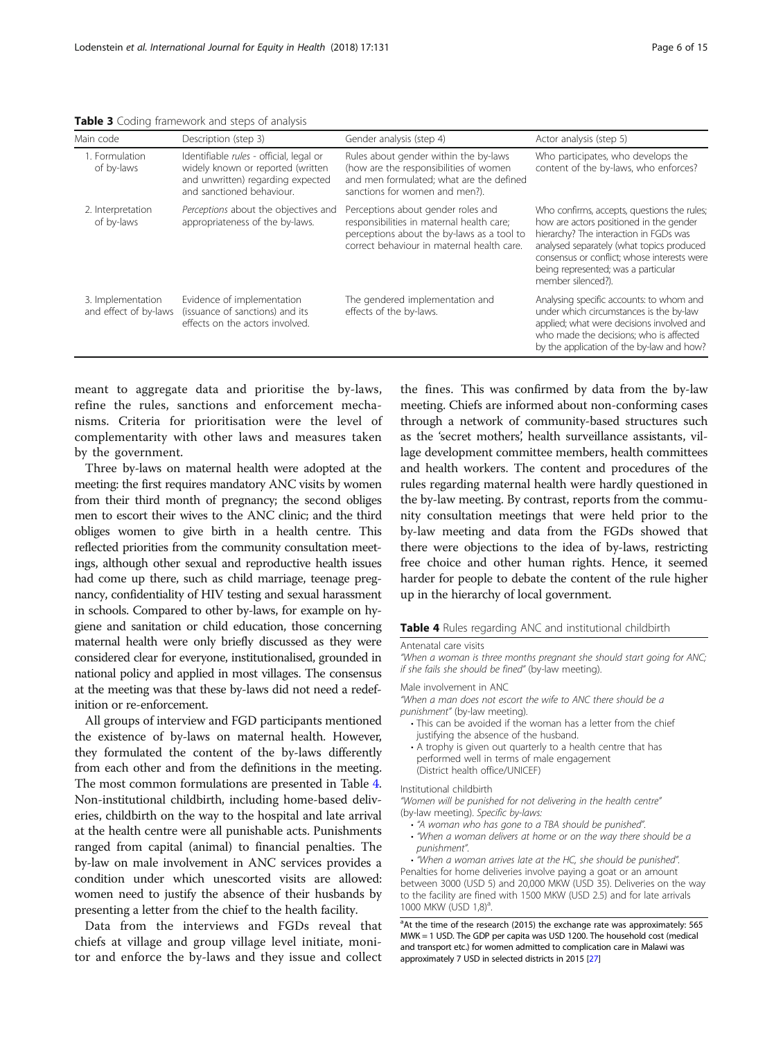| Main code                                  | Description (step 3)                                                                                                                           | Gender analysis (step 4)                                                                                                                                                    | Actor analysis (step 5)                                                                                                                                                                                                                                                                   |
|--------------------------------------------|------------------------------------------------------------------------------------------------------------------------------------------------|-----------------------------------------------------------------------------------------------------------------------------------------------------------------------------|-------------------------------------------------------------------------------------------------------------------------------------------------------------------------------------------------------------------------------------------------------------------------------------------|
| 1. Formulation<br>of by-laws               | Identifiable rules - official, legal or<br>widely known or reported (written<br>and unwritten) regarding expected<br>and sanctioned behaviour. | Rules about gender within the by-laws<br>(how are the responsibilities of women<br>and men formulated; what are the defined<br>sanctions for women and men?).               | Who participates, who develops the<br>content of the by-laws, who enforces?                                                                                                                                                                                                               |
| 2. Interpretation<br>of by-laws            | Perceptions about the objectives and<br>appropriateness of the by-laws.                                                                        | Perceptions about gender roles and<br>responsibilities in maternal health care;<br>perceptions about the by-laws as a tool to<br>correct behaviour in maternal health care. | Who confirms, accepts, questions the rules;<br>how are actors positioned in the gender<br>hierarchy? The interaction in FGDs was<br>analysed separately (what topics produced<br>consensus or conflict; whose interests were<br>being represented; was a particular<br>member silenced?). |
| 3. Implementation<br>and effect of by-laws | Evidence of implementation<br>(issuance of sanctions) and its<br>effects on the actors involved.                                               | The gendered implementation and<br>effects of the by-laws.                                                                                                                  | Analysing specific accounts: to whom and<br>under which circumstances is the by-law<br>applied; what were decisions involved and<br>who made the decisions: who is affected<br>by the application of the by-law and how?                                                                  |

<span id="page-5-0"></span>Table 3 Coding framework and steps of analysis

meant to aggregate data and prioritise the by-laws, refine the rules, sanctions and enforcement mechanisms. Criteria for prioritisation were the level of complementarity with other laws and measures taken by the government.

Three by-laws on maternal health were adopted at the meeting: the first requires mandatory ANC visits by women from their third month of pregnancy; the second obliges men to escort their wives to the ANC clinic; and the third obliges women to give birth in a health centre. This reflected priorities from the community consultation meetings, although other sexual and reproductive health issues had come up there, such as child marriage, teenage pregnancy, confidentiality of HIV testing and sexual harassment in schools. Compared to other by-laws, for example on hygiene and sanitation or child education, those concerning maternal health were only briefly discussed as they were considered clear for everyone, institutionalised, grounded in national policy and applied in most villages. The consensus at the meeting was that these by-laws did not need a redefinition or re-enforcement.

All groups of interview and FGD participants mentioned the existence of by-laws on maternal health. However, they formulated the content of the by-laws differently from each other and from the definitions in the meeting. The most common formulations are presented in Table 4. Non-institutional childbirth, including home-based deliveries, childbirth on the way to the hospital and late arrival at the health centre were all punishable acts. Punishments ranged from capital (animal) to financial penalties. The by-law on male involvement in ANC services provides a condition under which unescorted visits are allowed: women need to justify the absence of their husbands by presenting a letter from the chief to the health facility.

Data from the interviews and FGDs reveal that chiefs at village and group village level initiate, monitor and enforce the by-laws and they issue and collect

the fines. This was confirmed by data from the by-law meeting. Chiefs are informed about non-conforming cases through a network of community-based structures such as the 'secret mothers', health surveillance assistants, village development committee members, health committees and health workers. The content and procedures of the rules regarding maternal health were hardly questioned in the by-law meeting. By contrast, reports from the community consultation meetings that were held prior to the by-law meeting and data from the FGDs showed that there were objections to the idea of by-laws, restricting free choice and other human rights. Hence, it seemed harder for people to debate the content of the rule higher up in the hierarchy of local government.

# Table 4 Rules regarding ANC and institutional childbirth

#### Antenatal care visits

"When a woman is three months pregnant she should start going for ANC; if she fails she should be fined" (by-law meeting).

#### Male involvement in ANC

"When a man does not escort the wife to ANC there should be a punishment" (by-law meeting).

- This can be avoided if the woman has a letter from the chief justifying the absence of the husband.
- A trophy is given out quarterly to a health centre that has performed well in terms of male engagement (District health office/UNICEF)

#### Institutional childbirth

"Women will be punished for not delivering in the health centre" (by-law meeting). Specific by-laws:

- "A woman who has gone to a TBA should be punished".
- "When a woman delivers at home or on the way there should be a punishment".

• "When a woman arrives late at the HC, she should be punished". Penalties for home deliveries involve paying a goat or an amount between 3000 (USD 5) and 20,000 MKW (USD 35). Deliveries on the way to the facility are fined with 1500 MKW (USD 2.5) and for late arrivals 1000 MKW (USD 1,8)<sup>a</sup> .

<sup>a</sup>At the time of the research (2015) the exchange rate was approximately: 565 MWK = 1 USD. The GDP per capita was USD 1200. The household cost (medical and transport etc.) for women admitted to complication care in Malawi was approximately 7 USD in selected districts in 2015 [\[27](#page-14-0)]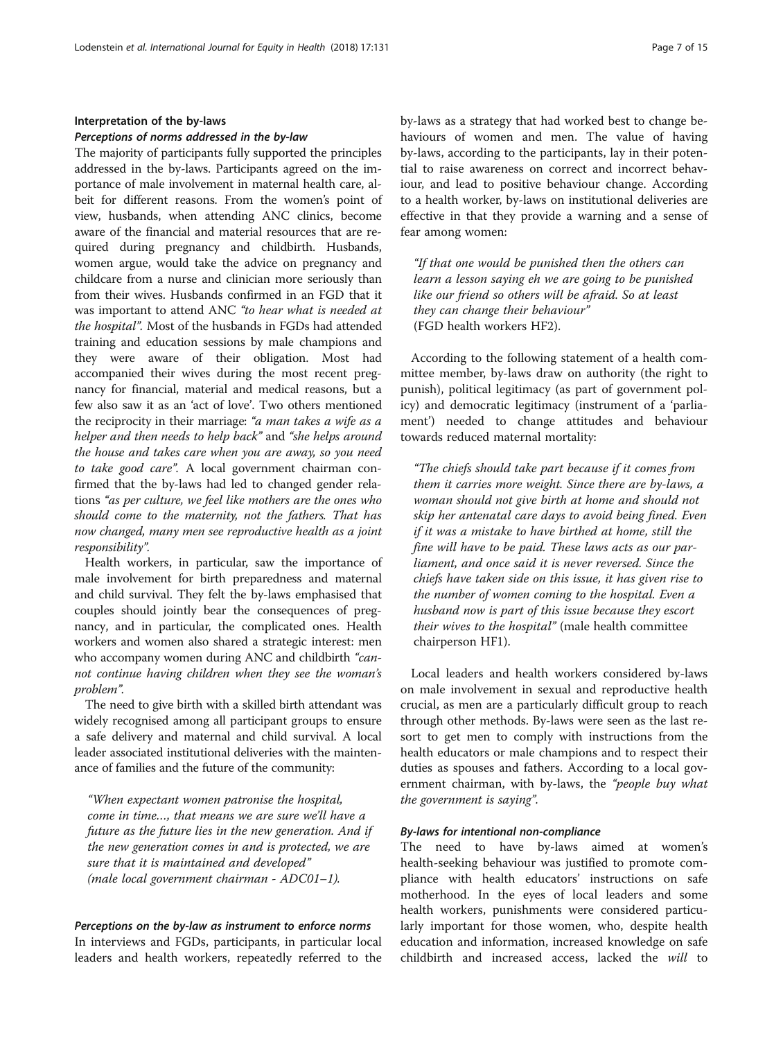# Interpretation of the by-laws

#### Perceptions of norms addressed in the by-law

The majority of participants fully supported the principles addressed in the by-laws. Participants agreed on the importance of male involvement in maternal health care, albeit for different reasons. From the women's point of view, husbands, when attending ANC clinics, become aware of the financial and material resources that are required during pregnancy and childbirth. Husbands, women argue, would take the advice on pregnancy and childcare from a nurse and clinician more seriously than from their wives. Husbands confirmed in an FGD that it was important to attend ANC "to hear what is needed at the hospital". Most of the husbands in FGDs had attended training and education sessions by male champions and they were aware of their obligation. Most had accompanied their wives during the most recent pregnancy for financial, material and medical reasons, but a few also saw it as an 'act of love'. Two others mentioned the reciprocity in their marriage: "a man takes a wife as a helper and then needs to help back" and "she helps around the house and takes care when you are away, so you need to take good care". A local government chairman confirmed that the by-laws had led to changed gender relations "as per culture, we feel like mothers are the ones who should come to the maternity, not the fathers. That has now changed, many men see reproductive health as a joint responsibility".

Health workers, in particular, saw the importance of male involvement for birth preparedness and maternal and child survival. They felt the by-laws emphasised that couples should jointly bear the consequences of pregnancy, and in particular, the complicated ones. Health workers and women also shared a strategic interest: men who accompany women during ANC and childbirth "cannot continue having children when they see the woman's problem".

The need to give birth with a skilled birth attendant was widely recognised among all participant groups to ensure a safe delivery and maternal and child survival. A local leader associated institutional deliveries with the maintenance of families and the future of the community:

"When expectant women patronise the hospital, come in time…, that means we are sure we'll have a future as the future lies in the new generation. And if the new generation comes in and is protected, we are sure that it is maintained and developed" (male local government chairman - ADC01–1).

#### Perceptions on the by-law as instrument to enforce norms

In interviews and FGDs, participants, in particular local leaders and health workers, repeatedly referred to the

by-laws as a strategy that had worked best to change behaviours of women and men. The value of having by-laws, according to the participants, lay in their potential to raise awareness on correct and incorrect behaviour, and lead to positive behaviour change. According to a health worker, by-laws on institutional deliveries are effective in that they provide a warning and a sense of fear among women:

"If that one would be punished then the others can learn a lesson saying eh we are going to be punished like our friend so others will be afraid. So at least they can change their behaviour" (FGD health workers HF2).

According to the following statement of a health committee member, by-laws draw on authority (the right to punish), political legitimacy (as part of government policy) and democratic legitimacy (instrument of a 'parliament') needed to change attitudes and behaviour towards reduced maternal mortality:

"The chiefs should take part because if it comes from them it carries more weight. Since there are by-laws, a woman should not give birth at home and should not skip her antenatal care days to avoid being fined. Even if it was a mistake to have birthed at home, still the fine will have to be paid. These laws acts as our parliament, and once said it is never reversed. Since the chiefs have taken side on this issue, it has given rise to the number of women coming to the hospital. Even a husband now is part of this issue because they escort their wives to the hospital" (male health committee chairperson HF1).

Local leaders and health workers considered by-laws on male involvement in sexual and reproductive health crucial, as men are a particularly difficult group to reach through other methods. By-laws were seen as the last resort to get men to comply with instructions from the health educators or male champions and to respect their duties as spouses and fathers. According to a local government chairman, with by-laws, the "people buy what the government is saying".

# By-laws for intentional non-compliance

The need to have by-laws aimed at women's health-seeking behaviour was justified to promote compliance with health educators' instructions on safe motherhood. In the eyes of local leaders and some health workers, punishments were considered particularly important for those women, who, despite health education and information, increased knowledge on safe childbirth and increased access, lacked the will to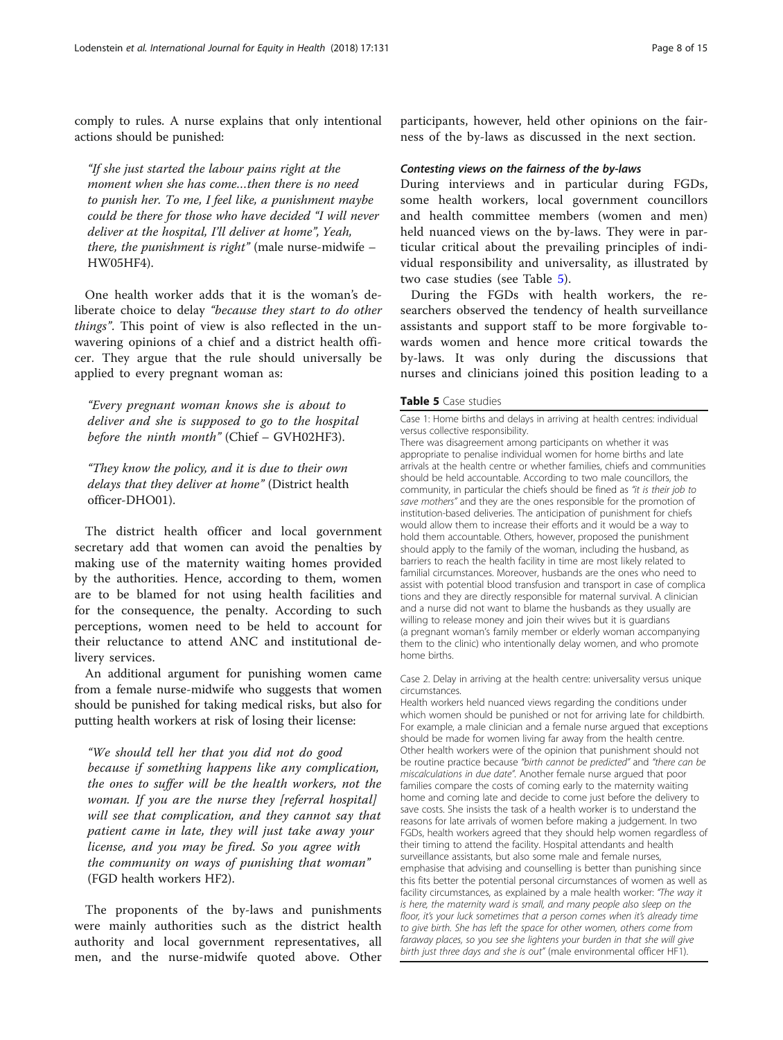comply to rules. A nurse explains that only intentional actions should be punished:

"If she just started the labour pains right at the moment when she has come…then there is no need to punish her. To me, I feel like, a punishment maybe could be there for those who have decided "I will never deliver at the hospital, I'll deliver at home", Yeah, there, the punishment is right" (male nurse-midwife  $-$ HW05HF4).

One health worker adds that it is the woman's deliberate choice to delay "because they start to do other things". This point of view is also reflected in the unwavering opinions of a chief and a district health officer. They argue that the rule should universally be applied to every pregnant woman as:

"Every pregnant woman knows she is about to deliver and she is supposed to go to the hospital before the ninth month" (Chief – GVH02HF3).

"They know the policy, and it is due to their own delays that they deliver at home" (District health officer-DHO01).

The district health officer and local government secretary add that women can avoid the penalties by making use of the maternity waiting homes provided by the authorities. Hence, according to them, women are to be blamed for not using health facilities and for the consequence, the penalty. According to such perceptions, women need to be held to account for their reluctance to attend ANC and institutional delivery services.

An additional argument for punishing women came from a female nurse-midwife who suggests that women should be punished for taking medical risks, but also for putting health workers at risk of losing their license:

"We should tell her that you did not do good because if something happens like any complication, the ones to suffer will be the health workers, not the woman. If you are the nurse they [referral hospital] will see that complication, and they cannot say that patient came in late, they will just take away your license, and you may be fired. So you agree with the community on ways of punishing that woman" (FGD health workers HF2).

The proponents of the by-laws and punishments were mainly authorities such as the district health authority and local government representatives, all men, and the nurse-midwife quoted above. Other

participants, however, held other opinions on the fairness of the by-laws as discussed in the next section.

#### Contesting views on the fairness of the by-laws

During interviews and in particular during FGDs, some health workers, local government councillors and health committee members (women and men) held nuanced views on the by-laws. They were in particular critical about the prevailing principles of individual responsibility and universality, as illustrated by two case studies (see Table 5).

During the FGDs with health workers, the researchers observed the tendency of health surveillance assistants and support staff to be more forgivable towards women and hence more critical towards the by-laws. It was only during the discussions that nurses and clinicians joined this position leading to a

#### Table 5 Case studies

Case 1: Home births and delays in arriving at health centres: individual versus collective responsibility.

There was disagreement among participants on whether it was appropriate to penalise individual women for home births and late arrivals at the health centre or whether families, chiefs and communities should be held accountable. According to two male councillors, the community, in particular the chiefs should be fined as "it is their job to save mothers" and they are the ones responsible for the promotion of institution-based deliveries. The anticipation of punishment for chiefs would allow them to increase their efforts and it would be a way to hold them accountable. Others, however, proposed the punishment should apply to the family of the woman, including the husband, as barriers to reach the health facility in time are most likely related to familial circumstances. Moreover, husbands are the ones who need to assist with potential blood transfusion and transport in case of complica tions and they are directly responsible for maternal survival. A clinician and a nurse did not want to blame the husbands as they usually are willing to release money and join their wives but it is guardians (a pregnant woman's family member or elderly woman accompanying them to the clinic) who intentionally delay women, and who promote home births.

Case 2. Delay in arriving at the health centre: universality versus unique circumstances.

Health workers held nuanced views regarding the conditions under which women should be punished or not for arriving late for childbirth. For example, a male clinician and a female nurse argued that exceptions should be made for women living far away from the health centre. Other health workers were of the opinion that punishment should not be routine practice because "birth cannot be predicted" and "there can be miscalculations in due date". Another female nurse argued that poor families compare the costs of coming early to the maternity waiting home and coming late and decide to come just before the delivery to save costs. She insists the task of a health worker is to understand the reasons for late arrivals of women before making a judgement. In two FGDs, health workers agreed that they should help women regardless of their timing to attend the facility. Hospital attendants and health surveillance assistants, but also some male and female nurses, emphasise that advising and counselling is better than punishing since this fits better the potential personal circumstances of women as well as facility circumstances, as explained by a male health worker: "The way it is here, the maternity ward is small, and many people also sleep on the floor, it's your luck sometimes that a person comes when it's already time to give birth. She has left the space for other women, others come from faraway places, so you see she lightens your burden in that she will give birth just three days and she is out" (male environmental officer HF1).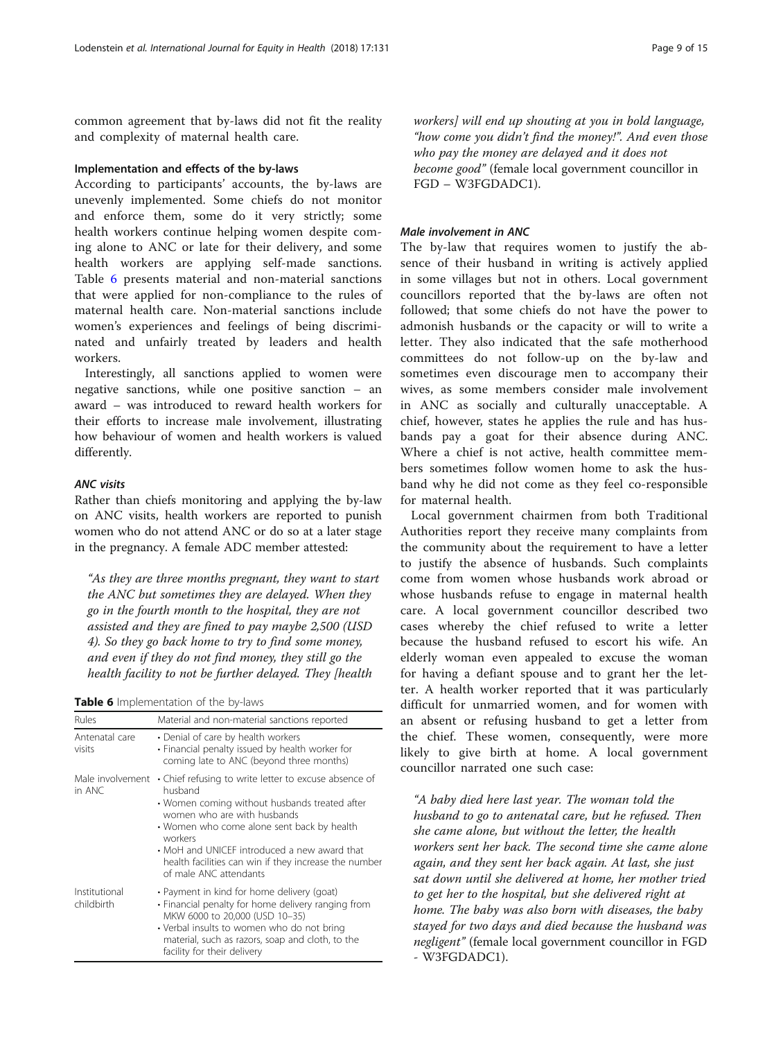common agreement that by-laws did not fit the reality and complexity of maternal health care.

#### Implementation and effects of the by-laws

According to participants' accounts, the by-laws are unevenly implemented. Some chiefs do not monitor and enforce them, some do it very strictly; some health workers continue helping women despite coming alone to ANC or late for their delivery, and some health workers are applying self-made sanctions. Table 6 presents material and non-material sanctions that were applied for non-compliance to the rules of maternal health care. Non-material sanctions include women's experiences and feelings of being discriminated and unfairly treated by leaders and health workers.

Interestingly, all sanctions applied to women were negative sanctions, while one positive sanction – an award – was introduced to reward health workers for their efforts to increase male involvement, illustrating how behaviour of women and health workers is valued differently.

# ANC visits

Rather than chiefs monitoring and applying the by-law on ANC visits, health workers are reported to punish women who do not attend ANC or do so at a later stage in the pregnancy. A female ADC member attested:

"As they are three months pregnant, they want to start the ANC but sometimes they are delayed. When they go in the fourth month to the hospital, they are not assisted and they are fined to pay maybe 2,500 (USD 4). So they go back home to try to find some money, and even if they do not find money, they still go the health facility to not be further delayed. They [health

|  | Table 6 Implementation of the by-laws |  |  |
|--|---------------------------------------|--|--|
|--|---------------------------------------|--|--|

| Rules                       | Material and non-material sanctions reported                                                                                                                                                                                                                                                                                                 |  |  |
|-----------------------------|----------------------------------------------------------------------------------------------------------------------------------------------------------------------------------------------------------------------------------------------------------------------------------------------------------------------------------------------|--|--|
| Antenatal care<br>visits    | • Denial of care by health workers<br>• Financial penalty issued by health worker for<br>coming late to ANC (beyond three months)                                                                                                                                                                                                            |  |  |
| Male involvement<br>in ANC  | • Chief refusing to write letter to excuse absence of<br>husband<br>• Women coming without husbands treated after<br>women who are with husbands<br>• Women who come alone sent back by health<br>workers<br>• MoH and UNICEF introduced a new award that<br>health facilities can win if they increase the number<br>of male ANC attendants |  |  |
| Institutional<br>childbirth | • Payment in kind for home delivery (goat)<br>• Financial penalty for home delivery ranging from<br>MKW 6000 to 20,000 (USD 10-35)<br>• Verbal insults to women who do not bring<br>material, such as razors, soap and cloth, to the<br>facility for their delivery                                                                          |  |  |

workers] will end up shouting at you in bold language, "how come you didn't find the money!". And even those who pay the money are delayed and it does not become good" (female local government councillor in FGD – W3FGDADC1).

#### Male involvement in ANC

The by-law that requires women to justify the absence of their husband in writing is actively applied in some villages but not in others. Local government councillors reported that the by-laws are often not followed; that some chiefs do not have the power to admonish husbands or the capacity or will to write a letter. They also indicated that the safe motherhood committees do not follow-up on the by-law and sometimes even discourage men to accompany their wives, as some members consider male involvement in ANC as socially and culturally unacceptable. A chief, however, states he applies the rule and has husbands pay a goat for their absence during ANC. Where a chief is not active, health committee members sometimes follow women home to ask the husband why he did not come as they feel co-responsible for maternal health.

Local government chairmen from both Traditional Authorities report they receive many complaints from the community about the requirement to have a letter to justify the absence of husbands. Such complaints come from women whose husbands work abroad or whose husbands refuse to engage in maternal health care. A local government councillor described two cases whereby the chief refused to write a letter because the husband refused to escort his wife. An elderly woman even appealed to excuse the woman for having a defiant spouse and to grant her the letter. A health worker reported that it was particularly difficult for unmarried women, and for women with an absent or refusing husband to get a letter from the chief. These women, consequently, were more likely to give birth at home. A local government councillor narrated one such case:

"A baby died here last year. The woman told the husband to go to antenatal care, but he refused. Then she came alone, but without the letter, the health workers sent her back. The second time she came alone again, and they sent her back again. At last, she just sat down until she delivered at home, her mother tried to get her to the hospital, but she delivered right at home. The baby was also born with diseases, the baby stayed for two days and died because the husband was negligent" (female local government councillor in FGD - W3FGDADC1).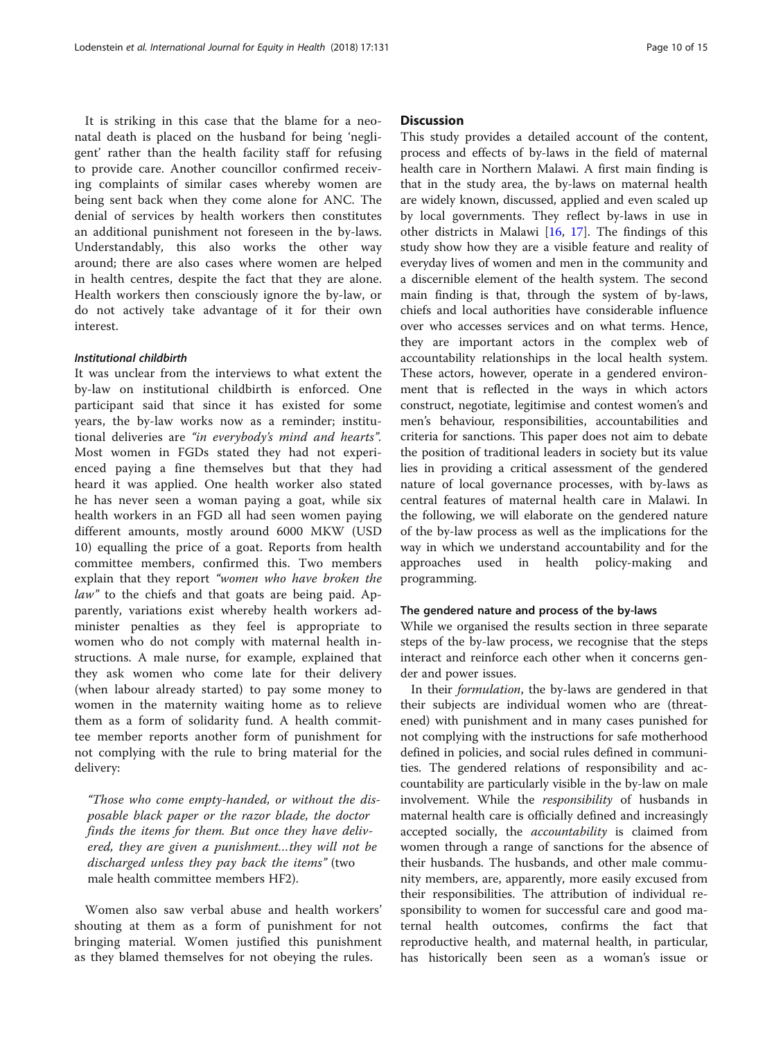It is striking in this case that the blame for a neonatal death is placed on the husband for being 'negligent' rather than the health facility staff for refusing to provide care. Another councillor confirmed receiving complaints of similar cases whereby women are being sent back when they come alone for ANC. The denial of services by health workers then constitutes an additional punishment not foreseen in the by-laws. Understandably, this also works the other way around; there are also cases where women are helped in health centres, despite the fact that they are alone. Health workers then consciously ignore the by-law, or do not actively take advantage of it for their own interest.

#### Institutional childbirth

It was unclear from the interviews to what extent the by-law on institutional childbirth is enforced. One participant said that since it has existed for some years, the by-law works now as a reminder; institutional deliveries are "in everybody's mind and hearts". Most women in FGDs stated they had not experienced paying a fine themselves but that they had heard it was applied. One health worker also stated he has never seen a woman paying a goat, while six health workers in an FGD all had seen women paying different amounts, mostly around 6000 MKW (USD 10) equalling the price of a goat. Reports from health committee members, confirmed this. Two members explain that they report "women who have broken the law" to the chiefs and that goats are being paid. Apparently, variations exist whereby health workers administer penalties as they feel is appropriate to women who do not comply with maternal health instructions. A male nurse, for example, explained that they ask women who come late for their delivery (when labour already started) to pay some money to women in the maternity waiting home as to relieve them as a form of solidarity fund. A health committee member reports another form of punishment for not complying with the rule to bring material for the delivery:

"Those who come empty-handed, or without the disposable black paper or the razor blade, the doctor finds the items for them. But once they have delivered, they are given a punishment…they will not be discharged unless they pay back the items" (two male health committee members HF2).

Women also saw verbal abuse and health workers' shouting at them as a form of punishment for not bringing material. Women justified this punishment as they blamed themselves for not obeying the rules.

# **Discussion**

This study provides a detailed account of the content, process and effects of by-laws in the field of maternal health care in Northern Malawi. A first main finding is that in the study area, the by-laws on maternal health are widely known, discussed, applied and even scaled up by local governments. They reflect by-laws in use in other districts in Malawi [[16](#page-13-0), [17\]](#page-13-0). The findings of this study show how they are a visible feature and reality of everyday lives of women and men in the community and a discernible element of the health system. The second main finding is that, through the system of by-laws, chiefs and local authorities have considerable influence over who accesses services and on what terms. Hence, they are important actors in the complex web of accountability relationships in the local health system. These actors, however, operate in a gendered environment that is reflected in the ways in which actors construct, negotiate, legitimise and contest women's and men's behaviour, responsibilities, accountabilities and criteria for sanctions. This paper does not aim to debate the position of traditional leaders in society but its value lies in providing a critical assessment of the gendered nature of local governance processes, with by-laws as central features of maternal health care in Malawi. In the following, we will elaborate on the gendered nature of the by-law process as well as the implications for the way in which we understand accountability and for the approaches used in health policy-making and programming.

# The gendered nature and process of the by-laws

While we organised the results section in three separate steps of the by-law process, we recognise that the steps interact and reinforce each other when it concerns gender and power issues.

In their formulation, the by-laws are gendered in that their subjects are individual women who are (threatened) with punishment and in many cases punished for not complying with the instructions for safe motherhood defined in policies, and social rules defined in communities. The gendered relations of responsibility and accountability are particularly visible in the by-law on male involvement. While the responsibility of husbands in maternal health care is officially defined and increasingly accepted socially, the accountability is claimed from women through a range of sanctions for the absence of their husbands. The husbands, and other male community members, are, apparently, more easily excused from their responsibilities. The attribution of individual responsibility to women for successful care and good maternal health outcomes, confirms the fact that reproductive health, and maternal health, in particular, has historically been seen as a woman's issue or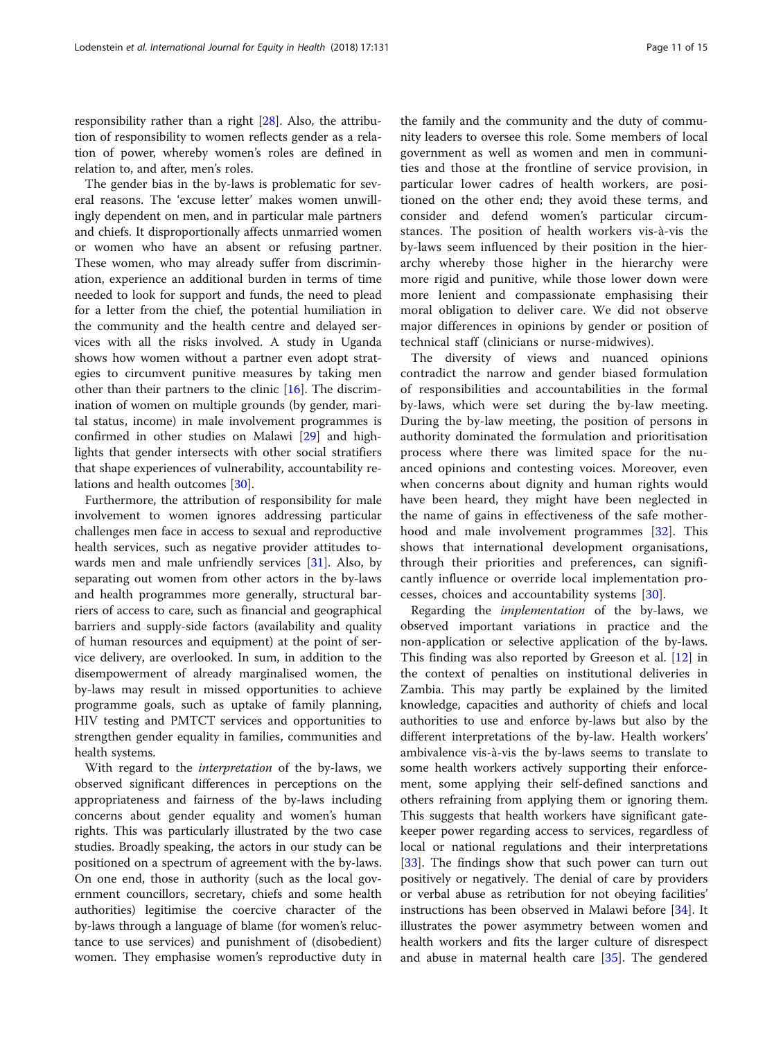responsibility rather than a right [[28\]](#page-14-0). Also, the attribution of responsibility to women reflects gender as a relation of power, whereby women's roles are defined in relation to, and after, men's roles.

The gender bias in the by-laws is problematic for several reasons. The 'excuse letter' makes women unwillingly dependent on men, and in particular male partners and chiefs. It disproportionally affects unmarried women or women who have an absent or refusing partner. These women, who may already suffer from discrimination, experience an additional burden in terms of time needed to look for support and funds, the need to plead for a letter from the chief, the potential humiliation in the community and the health centre and delayed services with all the risks involved. A study in Uganda shows how women without a partner even adopt strategies to circumvent punitive measures by taking men other than their partners to the clinic [[16\]](#page-13-0). The discrimination of women on multiple grounds (by gender, marital status, income) in male involvement programmes is confirmed in other studies on Malawi [[29\]](#page-14-0) and highlights that gender intersects with other social stratifiers that shape experiences of vulnerability, accountability relations and health outcomes [\[30](#page-14-0)].

Furthermore, the attribution of responsibility for male involvement to women ignores addressing particular challenges men face in access to sexual and reproductive health services, such as negative provider attitudes towards men and male unfriendly services [[31](#page-14-0)]. Also, by separating out women from other actors in the by-laws and health programmes more generally, structural barriers of access to care, such as financial and geographical barriers and supply-side factors (availability and quality of human resources and equipment) at the point of service delivery, are overlooked. In sum, in addition to the disempowerment of already marginalised women, the by-laws may result in missed opportunities to achieve programme goals, such as uptake of family planning, HIV testing and PMTCT services and opportunities to strengthen gender equality in families, communities and health systems.

With regard to the interpretation of the by-laws, we observed significant differences in perceptions on the appropriateness and fairness of the by-laws including concerns about gender equality and women's human rights. This was particularly illustrated by the two case studies. Broadly speaking, the actors in our study can be positioned on a spectrum of agreement with the by-laws. On one end, those in authority (such as the local government councillors, secretary, chiefs and some health authorities) legitimise the coercive character of the by-laws through a language of blame (for women's reluctance to use services) and punishment of (disobedient) women. They emphasise women's reproductive duty in the family and the community and the duty of community leaders to oversee this role. Some members of local government as well as women and men in communities and those at the frontline of service provision, in particular lower cadres of health workers, are positioned on the other end; they avoid these terms, and consider and defend women's particular circumstances. The position of health workers vis-à-vis the by-laws seem influenced by their position in the hierarchy whereby those higher in the hierarchy were more rigid and punitive, while those lower down were more lenient and compassionate emphasising their moral obligation to deliver care. We did not observe major differences in opinions by gender or position of technical staff (clinicians or nurse-midwives).

The diversity of views and nuanced opinions contradict the narrow and gender biased formulation of responsibilities and accountabilities in the formal by-laws, which were set during the by-law meeting. During the by-law meeting, the position of persons in authority dominated the formulation and prioritisation process where there was limited space for the nuanced opinions and contesting voices. Moreover, even when concerns about dignity and human rights would have been heard, they might have been neglected in the name of gains in effectiveness of the safe motherhood and male involvement programmes [[32\]](#page-14-0). This shows that international development organisations, through their priorities and preferences, can significantly influence or override local implementation processes, choices and accountability systems [\[30](#page-14-0)].

Regarding the implementation of the by-laws, we observed important variations in practice and the non-application or selective application of the by-laws. This finding was also reported by Greeson et al. [[12\]](#page-13-0) in the context of penalties on institutional deliveries in Zambia. This may partly be explained by the limited knowledge, capacities and authority of chiefs and local authorities to use and enforce by-laws but also by the different interpretations of the by-law. Health workers' ambivalence vis-à-vis the by-laws seems to translate to some health workers actively supporting their enforcement, some applying their self-defined sanctions and others refraining from applying them or ignoring them. This suggests that health workers have significant gatekeeper power regarding access to services, regardless of local or national regulations and their interpretations [[33\]](#page-14-0). The findings show that such power can turn out positively or negatively. The denial of care by providers or verbal abuse as retribution for not obeying facilities' instructions has been observed in Malawi before [[34](#page-14-0)]. It illustrates the power asymmetry between women and health workers and fits the larger culture of disrespect and abuse in maternal health care [\[35](#page-14-0)]. The gendered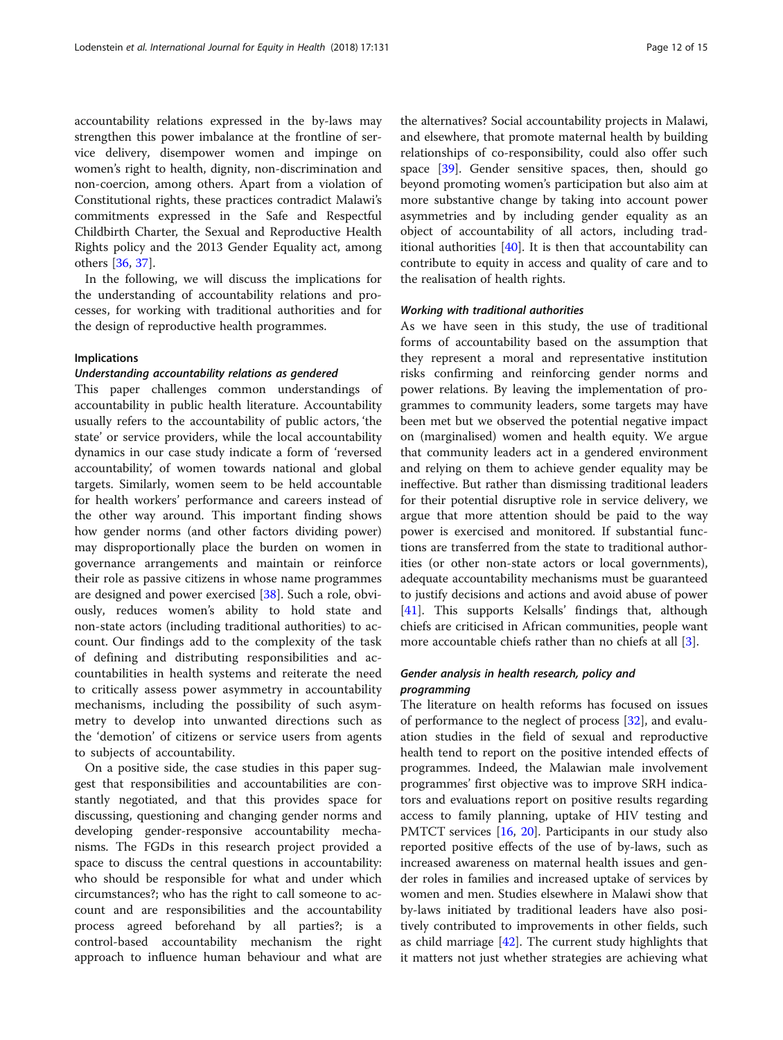accountability relations expressed in the by-laws may strengthen this power imbalance at the frontline of service delivery, disempower women and impinge on women's right to health, dignity, non-discrimination and non-coercion, among others. Apart from a violation of Constitutional rights, these practices contradict Malawi's commitments expressed in the Safe and Respectful Childbirth Charter, the Sexual and Reproductive Health Rights policy and the 2013 Gender Equality act, among others [\[36](#page-14-0), [37\]](#page-14-0).

In the following, we will discuss the implications for the understanding of accountability relations and processes, for working with traditional authorities and for the design of reproductive health programmes.

#### Implications

#### Understanding accountability relations as gendered

This paper challenges common understandings of accountability in public health literature. Accountability usually refers to the accountability of public actors, 'the state' or service providers, while the local accountability dynamics in our case study indicate a form of 'reversed accountability', of women towards national and global targets. Similarly, women seem to be held accountable for health workers' performance and careers instead of the other way around. This important finding shows how gender norms (and other factors dividing power) may disproportionally place the burden on women in governance arrangements and maintain or reinforce their role as passive citizens in whose name programmes are designed and power exercised [[38](#page-14-0)]. Such a role, obviously, reduces women's ability to hold state and non-state actors (including traditional authorities) to account. Our findings add to the complexity of the task of defining and distributing responsibilities and accountabilities in health systems and reiterate the need to critically assess power asymmetry in accountability mechanisms, including the possibility of such asymmetry to develop into unwanted directions such as the 'demotion' of citizens or service users from agents to subjects of accountability.

On a positive side, the case studies in this paper suggest that responsibilities and accountabilities are constantly negotiated, and that this provides space for discussing, questioning and changing gender norms and developing gender-responsive accountability mechanisms. The FGDs in this research project provided a space to discuss the central questions in accountability: who should be responsible for what and under which circumstances?; who has the right to call someone to account and are responsibilities and the accountability process agreed beforehand by all parties?; is a control-based accountability mechanism the right approach to influence human behaviour and what are the alternatives? Social accountability projects in Malawi, and elsewhere, that promote maternal health by building relationships of co-responsibility, could also offer such space  $[39]$ . Gender sensitive spaces, then, should go beyond promoting women's participation but also aim at more substantive change by taking into account power asymmetries and by including gender equality as an object of accountability of all actors, including traditional authorities [\[40\]](#page-14-0). It is then that accountability can contribute to equity in access and quality of care and to the realisation of health rights.

#### Working with traditional authorities

As we have seen in this study, the use of traditional forms of accountability based on the assumption that they represent a moral and representative institution risks confirming and reinforcing gender norms and power relations. By leaving the implementation of programmes to community leaders, some targets may have been met but we observed the potential negative impact on (marginalised) women and health equity. We argue that community leaders act in a gendered environment and relying on them to achieve gender equality may be ineffective. But rather than dismissing traditional leaders for their potential disruptive role in service delivery, we argue that more attention should be paid to the way power is exercised and monitored. If substantial functions are transferred from the state to traditional authorities (or other non-state actors or local governments), adequate accountability mechanisms must be guaranteed to justify decisions and actions and avoid abuse of power [[41\]](#page-14-0). This supports Kelsalls' findings that, although chiefs are criticised in African communities, people want more accountable chiefs rather than no chiefs at all [[3\]](#page-13-0).

# Gender analysis in health research, policy and programming

The literature on health reforms has focused on issues of performance to the neglect of process [\[32](#page-14-0)], and evaluation studies in the field of sexual and reproductive health tend to report on the positive intended effects of programmes. Indeed, the Malawian male involvement programmes' first objective was to improve SRH indicators and evaluations report on positive results regarding access to family planning, uptake of HIV testing and PMTCT services [[16,](#page-13-0) [20](#page-13-0)]. Participants in our study also reported positive effects of the use of by-laws, such as increased awareness on maternal health issues and gender roles in families and increased uptake of services by women and men. Studies elsewhere in Malawi show that by-laws initiated by traditional leaders have also positively contributed to improvements in other fields, such as child marriage [\[42](#page-14-0)]. The current study highlights that it matters not just whether strategies are achieving what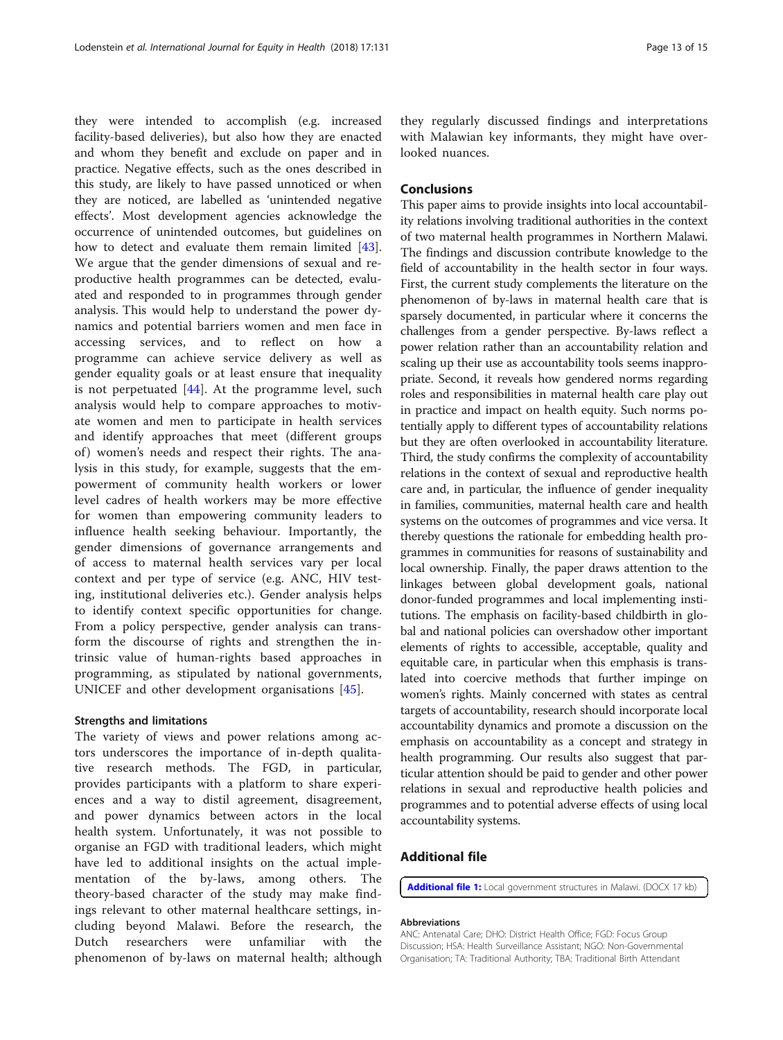<span id="page-12-0"></span>they were intended to accomplish (e.g. increased facility-based deliveries), but also how they are enacted and whom they benefit and exclude on paper and in practice. Negative effects, such as the ones described in this study, are likely to have passed unnoticed or when they are noticed, are labelled as 'unintended negative effects'. Most development agencies acknowledge the occurrence of unintended outcomes, but guidelines on how to detect and evaluate them remain limited [\[43](#page-14-0)]. We argue that the gender dimensions of sexual and reproductive health programmes can be detected, evaluated and responded to in programmes through gender analysis. This would help to understand the power dynamics and potential barriers women and men face in accessing services, and to reflect on how programme can achieve service delivery as well as gender equality goals or at least ensure that inequality is not perpetuated  $[44]$  $[44]$ . At the programme level, such analysis would help to compare approaches to motivate women and men to participate in health services and identify approaches that meet (different groups of) women's needs and respect their rights. The analysis in this study, for example, suggests that the empowerment of community health workers or lower level cadres of health workers may be more effective for women than empowering community leaders to influence health seeking behaviour. Importantly, the gender dimensions of governance arrangements and of access to maternal health services vary per local context and per type of service (e.g. ANC, HIV testing, institutional deliveries etc.). Gender analysis helps to identify context specific opportunities for change. From a policy perspective, gender analysis can transform the discourse of rights and strengthen the intrinsic value of human-rights based approaches in programming, as stipulated by national governments, UNICEF and other development organisations [\[45](#page-14-0)].

#### Strengths and limitations

The variety of views and power relations among actors underscores the importance of in-depth qualitative research methods. The FGD, in particular, provides participants with a platform to share experiences and a way to distil agreement, disagreement, and power dynamics between actors in the local health system. Unfortunately, it was not possible to organise an FGD with traditional leaders, which might have led to additional insights on the actual implementation of the by-laws, among others. The theory-based character of the study may make findings relevant to other maternal healthcare settings, including beyond Malawi. Before the research, the Dutch researchers were unfamiliar with the phenomenon of by-laws on maternal health; although

they regularly discussed findings and interpretations with Malawian key informants, they might have overlooked nuances.

# Conclusions

This paper aims to provide insights into local accountability relations involving traditional authorities in the context of two maternal health programmes in Northern Malawi. The findings and discussion contribute knowledge to the field of accountability in the health sector in four ways. First, the current study complements the literature on the phenomenon of by-laws in maternal health care that is sparsely documented, in particular where it concerns the challenges from a gender perspective. By-laws reflect a power relation rather than an accountability relation and scaling up their use as accountability tools seems inappropriate. Second, it reveals how gendered norms regarding roles and responsibilities in maternal health care play out in practice and impact on health equity. Such norms potentially apply to different types of accountability relations but they are often overlooked in accountability literature. Third, the study confirms the complexity of accountability relations in the context of sexual and reproductive health care and, in particular, the influence of gender inequality in families, communities, maternal health care and health systems on the outcomes of programmes and vice versa. It thereby questions the rationale for embedding health programmes in communities for reasons of sustainability and local ownership. Finally, the paper draws attention to the linkages between global development goals, national donor-funded programmes and local implementing institutions. The emphasis on facility-based childbirth in global and national policies can overshadow other important elements of rights to accessible, acceptable, quality and equitable care, in particular when this emphasis is translated into coercive methods that further impinge on women's rights. Mainly concerned with states as central targets of accountability, research should incorporate local accountability dynamics and promote a discussion on the emphasis on accountability as a concept and strategy in health programming. Our results also suggest that particular attention should be paid to gender and other power relations in sexual and reproductive health policies and programmes and to potential adverse effects of using local accountability systems.

# Additional file

[Additional file 1:](https://doi.org/10.1186/s12939-018-0848-3) Local government structures in Malawi. (DOCX 17 kb)

#### Abbreviations

ANC: Antenatal Care; DHO: District Health Office; FGD: Focus Group Discussion; HSA: Health Surveillance Assistant; NGO: Non-Governmental Organisation; TA: Traditional Authority; TBA: Traditional Birth Attendant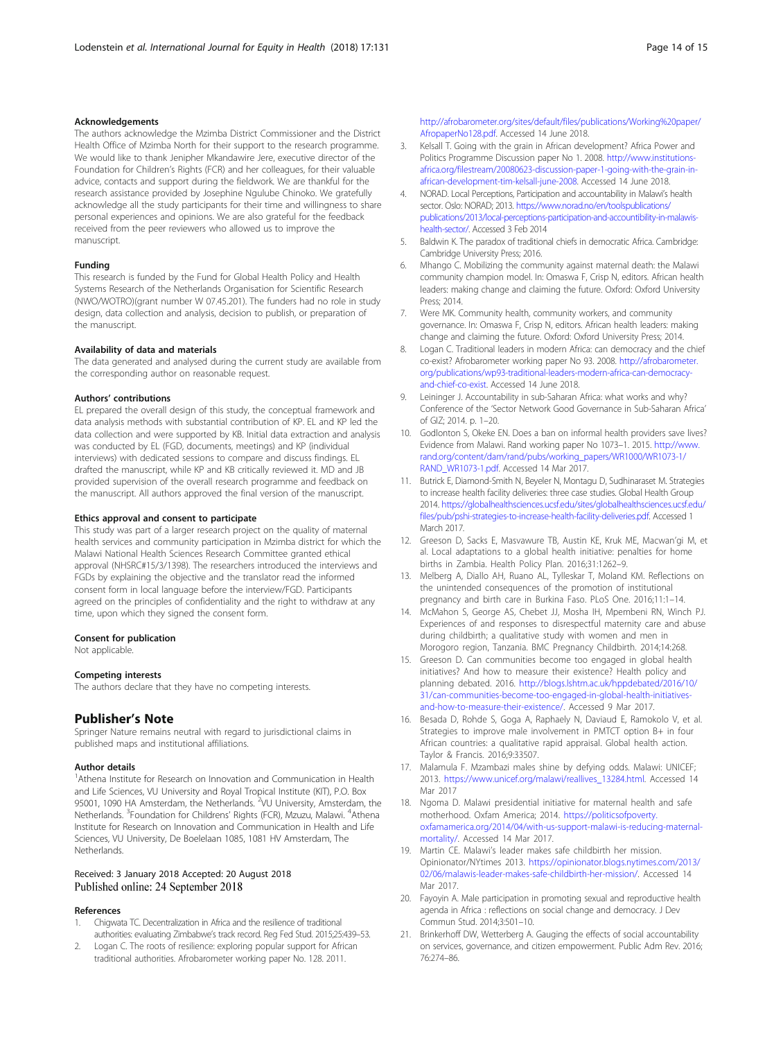#### <span id="page-13-0"></span>Acknowledgements

The authors acknowledge the Mzimba District Commissioner and the District Health Office of Mzimba North for their support to the research programme. We would like to thank Jenipher Mkandawire Jere, executive director of the Foundation for Children's Rights (FCR) and her colleagues, for their valuable advice, contacts and support during the fieldwork. We are thankful for the research assistance provided by Josephine Ngulube Chinoko. We gratefully acknowledge all the study participants for their time and willingness to share personal experiences and opinions. We are also grateful for the feedback received from the peer reviewers who allowed us to improve the manuscript.

#### Funding

This research is funded by the Fund for Global Health Policy and Health Systems Research of the Netherlands Organisation for Scientific Research (NWO/WOTRO)(grant number W 07.45.201). The funders had no role in study design, data collection and analysis, decision to publish, or preparation of the manuscript.

#### Availability of data and materials

The data generated and analysed during the current study are available from the corresponding author on reasonable request.

#### Authors' contributions

EL prepared the overall design of this study, the conceptual framework and data analysis methods with substantial contribution of KP. EL and KP led the data collection and were supported by KB. Initial data extraction and analysis was conducted by EL (FGD, documents, meetings) and KP (individual interviews) with dedicated sessions to compare and discuss findings. EL drafted the manuscript, while KP and KB critically reviewed it. MD and JB provided supervision of the overall research programme and feedback on the manuscript. All authors approved the final version of the manuscript.

#### Ethics approval and consent to participate

This study was part of a larger research project on the quality of maternal health services and community participation in Mzimba district for which the Malawi National Health Sciences Research Committee granted ethical approval (NHSRC#15/3/1398). The researchers introduced the interviews and FGDs by explaining the objective and the translator read the informed consent form in local language before the interview/FGD. Participants agreed on the principles of confidentiality and the right to withdraw at any time, upon which they signed the consent form.

#### Consent for publication

Not applicable.

#### Competing interests

The authors declare that they have no competing interests.

#### Publisher's Note

Springer Nature remains neutral with regard to jurisdictional claims in published maps and institutional affiliations.

#### Author details

<sup>1</sup>Athena Institute for Research on Innovation and Communication in Health and Life Sciences, VU University and Royal Tropical Institute (KIT), P.O. Box 95001, 1090 HA Amsterdam, the Netherlands. <sup>2</sup>VU University, Amsterdam, the Netherlands. <sup>3</sup>Foundation for Childrens' Rights (FCR), Mzuzu, Malawi. <sup>4</sup>Athena Institute for Research on Innovation and Communication in Health and Life Sciences, VU University, De Boelelaan 1085, 1081 HV Amsterdam, The **Netherlands** 

#### Received: 3 January 2018 Accepted: 20 August 2018 Published online: 24 September 2018

#### References

- 1. Chigwata TC. Decentralization in Africa and the resilience of traditional authorities: evaluating Zimbabwe's track record. Reg Fed Stud. 2015;25:439–53.
- 2. Logan C. The roots of resilience: exploring popular support for African traditional authorities. Afrobarometer working paper No. 128. 2011.

[http://afrobarometer.org/sites/default/files/publications/Working%20paper/](http://afrobarometer.org/sites/default/files/publications/Working%20paper/AfropaperNo128.pdf) [AfropaperNo128.pdf](http://afrobarometer.org/sites/default/files/publications/Working%20paper/AfropaperNo128.pdf). Accessed 14 June 2018.

- 3. Kelsall T. Going with the grain in African development? Africa Power and Politics Programme Discussion paper No 1. 2008. [http://www.institutions](http://www.institutions-africa.org/filestream/20080623-discussion-paper-1-going-with-the-grain-in-african-development-tim-kelsall-june-2008)[africa.org/filestream/20080623-discussion-paper-1-going-with-the-grain-in](http://www.institutions-africa.org/filestream/20080623-discussion-paper-1-going-with-the-grain-in-african-development-tim-kelsall-june-2008)[african-development-tim-kelsall-june-2008](http://www.institutions-africa.org/filestream/20080623-discussion-paper-1-going-with-the-grain-in-african-development-tim-kelsall-june-2008). Accessed 14 June 2018.
- 4. NORAD. Local Perceptions, Participation and accountability in Malawi's health sector. Oslo: NORAD; 2013. [https://www.norad.no/en/toolspublications/](https://www.norad.no/en/toolspublications/publications/2013/local-perceptions-participation-and-accountibility-in-malawis-health-sector/) [publications/2013/local-perceptions-participation-and-accountibility-in-malawis](https://www.norad.no/en/toolspublications/publications/2013/local-perceptions-participation-and-accountibility-in-malawis-health-sector/)[health-sector/.](https://www.norad.no/en/toolspublications/publications/2013/local-perceptions-participation-and-accountibility-in-malawis-health-sector/) Accessed 3 Feb 2014
- 5. Baldwin K. The paradox of traditional chiefs in democratic Africa. Cambridge: Cambridge University Press; 2016.
- 6. Mhango C. Mobilizing the community against maternal death: the Malawi community champion model. In: Omaswa F, Crisp N, editors. African health leaders: making change and claiming the future. Oxford: Oxford University Press; 2014.
- 7. Were MK. Community health, community workers, and community governance. In: Omaswa F, Crisp N, editors. African health leaders: making change and claiming the future. Oxford: Oxford University Press; 2014.
- 8. Logan C. Traditional leaders in modern Africa: can democracy and the chief co-exist? Afrobarometer working paper No 93. 2008. [http://afrobarometer.](http://afrobarometer.org/publications/wp93-traditional-leaders-modern-africa-can-democracy-and-chief-co-exist) [org/publications/wp93-traditional-leaders-modern-africa-can-democracy](http://afrobarometer.org/publications/wp93-traditional-leaders-modern-africa-can-democracy-and-chief-co-exist)[and-chief-co-exist](http://afrobarometer.org/publications/wp93-traditional-leaders-modern-africa-can-democracy-and-chief-co-exist). Accessed 14 June 2018.
- 9. Leininger J. Accountability in sub-Saharan Africa: what works and why? Conference of the 'Sector Network Good Governance in Sub-Saharan Africa' of GIZ; 2014. p. 1–20.
- 10. Godlonton S, Okeke EN. Does a ban on informal health providers save lives? Evidence from Malawi. Rand working paper No 1073–1. 2015. [http://www.](http://www.rand.org/content/dam/rand/pubs/working_papers/WR1000/WR1073-1/RAND_WR1073-1.pdf) [rand.org/content/dam/rand/pubs/working\\_papers/WR1000/WR1073-1/](http://www.rand.org/content/dam/rand/pubs/working_papers/WR1000/WR1073-1/RAND_WR1073-1.pdf) [RAND\\_WR1073-1.pdf](http://www.rand.org/content/dam/rand/pubs/working_papers/WR1000/WR1073-1/RAND_WR1073-1.pdf). Accessed 14 Mar 2017.
- 11. Butrick E, Diamond-Smith N, Beyeler N, Montagu D, Sudhinaraset M. Strategies to increase health facility deliveries: three case studies. Global Health Group 2014. [https://globalhealthsciences.ucsf.edu/sites/globalhealthsciences.ucsf.edu/](https://globalhealthsciences.ucsf.edu/sites/globalhealthsciences.ucsf.edu/files/pub/pshi-strategies-to-increase-health-facility-deliveries.pdf) [files/pub/pshi-strategies-to-increase-health-facility-deliveries.pdf.](https://globalhealthsciences.ucsf.edu/sites/globalhealthsciences.ucsf.edu/files/pub/pshi-strategies-to-increase-health-facility-deliveries.pdf) Accessed 1 March 2017.
- 12. Greeson D, Sacks E, Masvawure TB, Austin KE, Kruk ME, Macwan'gi M, et al. Local adaptations to a global health initiative: penalties for home births in Zambia. Health Policy Plan. 2016;31:1262–9.
- 13. Melberg A, Diallo AH, Ruano AL, Tylleskar T, Moland KM. Reflections on the unintended consequences of the promotion of institutional pregnancy and birth care in Burkina Faso. PLoS One. 2016;11:1–14.
- 14. McMahon S, George AS, Chebet JJ, Mosha IH, Mpembeni RN, Winch PJ. Experiences of and responses to disrespectful maternity care and abuse during childbirth; a qualitative study with women and men in Morogoro region, Tanzania. BMC Pregnancy Childbirth. 2014;14:268.
- 15. Greeson D. Can communities become too engaged in global health initiatives? And how to measure their existence? Health policy and planning debated. 2016. [http://blogs.lshtm.ac.uk/hppdebated/2016/10/](http://blogs.lshtm.ac.uk/hppdebated/2016/10/31/can-communities-become-too-engaged-in-global-health-initiatives-and-how-to-measure-their-existence/) [31/can-communities-become-too-engaged-in-global-health-initiatives](http://blogs.lshtm.ac.uk/hppdebated/2016/10/31/can-communities-become-too-engaged-in-global-health-initiatives-and-how-to-measure-their-existence/)[and-how-to-measure-their-existence/.](http://blogs.lshtm.ac.uk/hppdebated/2016/10/31/can-communities-become-too-engaged-in-global-health-initiatives-and-how-to-measure-their-existence/) Accessed 9 Mar 2017.
- 16. Besada D, Rohde S, Goga A, Raphaely N, Daviaud E, Ramokolo V, et al. Strategies to improve male involvement in PMTCT option B+ in four African countries: a qualitative rapid appraisal. Global health action. Taylor & Francis. 2016;9:33507.
- 17. Malamula F. Mzambazi males shine by defying odds. Malawi: UNICEF; 2013. [https://www.unicef.org/malawi/reallives\\_13284.html](https://www.unicef.org/malawi/reallives_13284.html). Accessed 14 Mar 2017
- 18. Ngoma D. Malawi presidential initiative for maternal health and safe motherhood. Oxfam America; 2014. [https://politicsofpoverty.](https://politicsofpoverty.oxfamamerica.org/2014/04/with-us-support-malawi-is-reducing-maternal-mortality/) [oxfamamerica.org/2014/04/with-us-support-malawi-is-reducing-maternal](https://politicsofpoverty.oxfamamerica.org/2014/04/with-us-support-malawi-is-reducing-maternal-mortality/)[mortality/](https://politicsofpoverty.oxfamamerica.org/2014/04/with-us-support-malawi-is-reducing-maternal-mortality/). Accessed 14 Mar 2017.
- 19. Martin CE. Malawi's leader makes safe childbirth her mission. Opinionator/NYtimes 2013. [https://opinionator.blogs.nytimes.com/2013/](https://opinionator.blogs.nytimes.com/2013/02/06/malawis-leader-makes-safe-childbirth-her-mission/) [02/06/malawis-leader-makes-safe-childbirth-her-mission/](https://opinionator.blogs.nytimes.com/2013/02/06/malawis-leader-makes-safe-childbirth-her-mission/). Accessed 14 Mar 2017.
- 20. Fayoyin A. Male participation in promoting sexual and reproductive health agenda in Africa : reflections on social change and democracy. J Dev Commun Stud. 2014;3:501–10.
- 21. Brinkerhoff DW, Wetterberg A. Gauging the effects of social accountability on services, governance, and citizen empowerment. Public Adm Rev. 2016; 76:274–86.